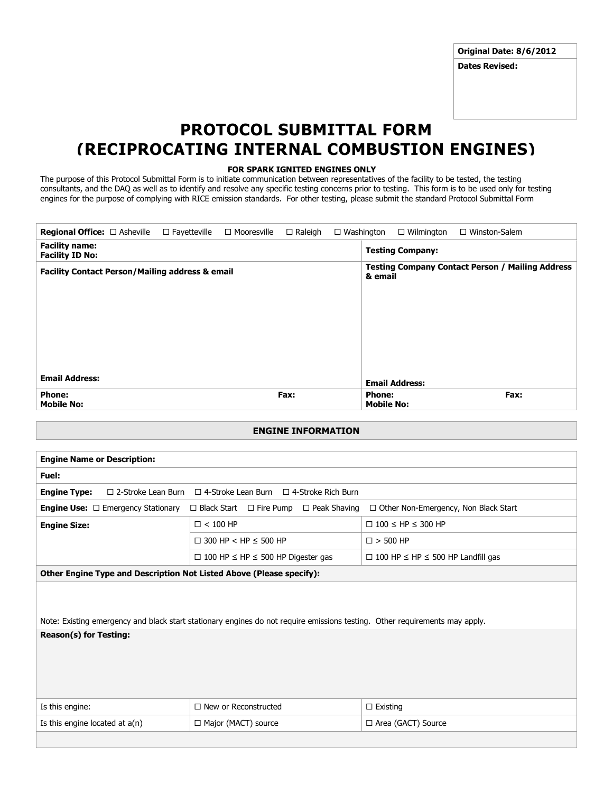**Original Date: 8/6/2012**

**Dates Revised:**

## **PROTOCOL SUBMITTAL FORM (RECIPROCATING INTERNAL COMBUSTION ENGINES)**

## **FOR SPARK IGNITED ENGINES ONLY**

The purpose of this Protocol Submittal Form is to initiate communication between representatives of the facility to be tested, the testing consultants, and the DAQ as well as to identify and resolve any specific testing concerns prior to testing. This form is to be used only for testing engines for the purpose of complying with RICE emission standards. For other testing, please submit the standard Protocol Submittal Form

| <b>Regional Office:</b> $\Box$ Asheville $\Box$ Fayetteville | □ Mooresville | $\Box$ Raleigh | $\Box$ Washington |                                    | $\Box$ Wilmington       | $\Box$ Winston-Salem                                    |
|--------------------------------------------------------------|---------------|----------------|-------------------|------------------------------------|-------------------------|---------------------------------------------------------|
| <b>Facility name:</b><br><b>Facility ID No:</b>              |               |                |                   |                                    | <b>Testing Company:</b> |                                                         |
| <b>Facility Contact Person/Mailing address &amp; email</b>   |               |                |                   | & email                            |                         | <b>Testing Company Contact Person / Mailing Address</b> |
|                                                              |               |                |                   |                                    |                         |                                                         |
|                                                              |               |                |                   |                                    |                         |                                                         |
|                                                              |               |                |                   |                                    |                         |                                                         |
|                                                              |               |                |                   |                                    |                         |                                                         |
| <b>Email Address:</b>                                        |               |                |                   |                                    | <b>Email Address:</b>   |                                                         |
| <b>Phone:</b><br><b>Mobile No:</b>                           |               | Fax:           |                   | <b>Phone:</b><br><b>Mobile No:</b> |                         | Fax:                                                    |

## **ENGINE INFORMATION**

| <b>Engine Name or Description:</b>                                                                                                                          |                                                                                                          |                                    |  |  |
|-------------------------------------------------------------------------------------------------------------------------------------------------------------|----------------------------------------------------------------------------------------------------------|------------------------------------|--|--|
| Fuel:                                                                                                                                                       |                                                                                                          |                                    |  |  |
| <b>Engine Type:</b><br>$\Box$ 2-Stroke Lean Burn<br>$\Box$ 4-Stroke Lean Burn $\Box$ 4-Stroke Rich Burn                                                     |                                                                                                          |                                    |  |  |
| $\Box$ Black Start $\Box$ Fire Pump<br>$\Box$ Other Non-Emergency, Non Black Start<br><b>Engine Use:</b> $\Box$ Emergency Stationary<br>$\Box$ Peak Shaving |                                                                                                          |                                    |  |  |
| <b>Engine Size:</b>                                                                                                                                         | $\square$ < 100 HP                                                                                       | $\Box$ 100 $\leq$ HP $\leq$ 300 HP |  |  |
|                                                                                                                                                             | $\Box$ 300 HP < HP $\leq$ 500 HP<br>$\square$ > 500 HP                                                   |                                    |  |  |
|                                                                                                                                                             | $\Box$ 100 HP $\leq$ HP $\leq$ 500 HP Digester gas<br>$\Box$ 100 HP $\leq$ HP $\leq$ 500 HP Landfill gas |                                    |  |  |
| Other Engine Type and Description Not Listed Above (Please specify):                                                                                        |                                                                                                          |                                    |  |  |
| Note: Existing emergency and black start stationary engines do not require emissions testing. Other requirements may apply.                                 |                                                                                                          |                                    |  |  |
| <b>Reason(s) for Testing:</b>                                                                                                                               |                                                                                                          |                                    |  |  |
| Is this engine:                                                                                                                                             | $\Box$ New or Reconstructed                                                                              | $\Box$ Existing                    |  |  |
| Is this engine located at $a(n)$                                                                                                                            | $\Box$ Major (MACT) source                                                                               | □ Area (GACT) Source               |  |  |
|                                                                                                                                                             |                                                                                                          |                                    |  |  |